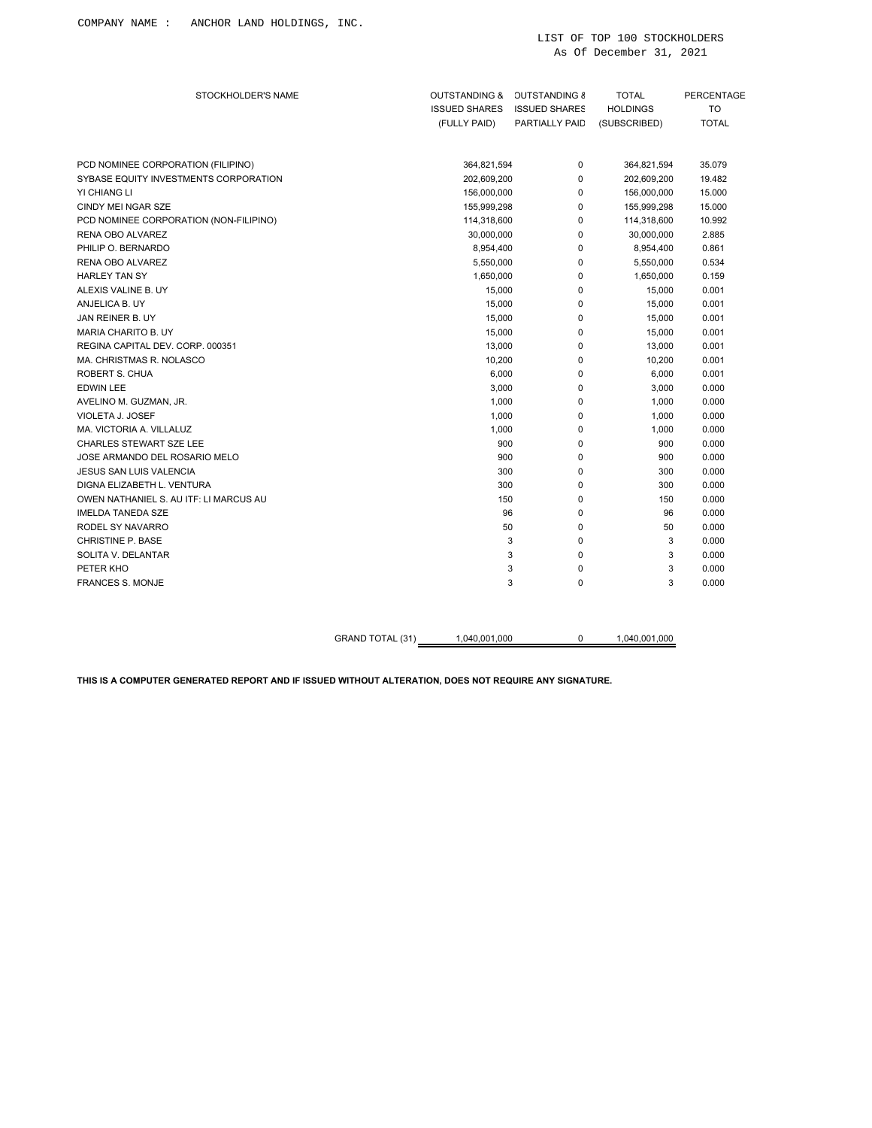| STOCKHOLDER'S NAME                     | <b>OUTSTANDING &amp;</b><br><b>ISSUED SHARES</b> | <b>OUTSTANDING 8</b><br><b>ISSUED SHARES</b> | <b>TOTAL</b><br><b>HOLDINGS</b> | PERCENTAGE<br><b>TO</b> |
|----------------------------------------|--------------------------------------------------|----------------------------------------------|---------------------------------|-------------------------|
|                                        | (FULLY PAID)                                     | PARTIALLY PAID                               | (SUBSCRIBED)                    | <b>TOTAL</b>            |
| PCD NOMINEE CORPORATION (FILIPINO)     | 364,821,594                                      | 0                                            | 364,821,594                     | 35.079                  |
| SYBASE EQUITY INVESTMENTS CORPORATION  | 202,609,200                                      | 0                                            | 202,609,200                     | 19.482                  |
| YI CHIANG LI                           | 156,000,000                                      | 0                                            | 156,000,000                     | 15.000                  |
| <b>CINDY MEI NGAR SZE</b>              | 155,999,298                                      | 0                                            | 155,999,298                     | 15.000                  |
| PCD NOMINEE CORPORATION (NON-FILIPINO) | 114,318,600                                      | 0                                            | 114,318,600                     | 10.992                  |
| RENA OBO ALVAREZ                       | 30,000,000                                       | 0                                            | 30,000,000                      | 2.885                   |
| PHILIP O. BERNARDO                     | 8,954,400                                        | 0                                            | 8,954,400                       | 0.861                   |
| RENA OBO ALVAREZ                       | 5,550,000                                        | 0                                            | 5,550,000                       | 0.534                   |
| <b>HARLEY TAN SY</b>                   | 1,650,000                                        | 0                                            | 1,650,000                       | 0.159                   |
| ALEXIS VALINE B. UY                    | 15,000                                           | 0                                            | 15,000                          | 0.001                   |
| ANJELICA B. UY                         | 15,000                                           | 0                                            | 15,000                          | 0.001                   |
| JAN REINER B. UY                       | 15,000                                           | 0                                            | 15,000                          | 0.001                   |
| MARIA CHARITO B. UY                    | 15,000                                           | 0                                            | 15,000                          | 0.001                   |
| REGINA CAPITAL DEV. CORP. 000351       | 13,000                                           | 0                                            | 13,000                          | 0.001                   |
| MA. CHRISTMAS R. NOLASCO               | 10,200                                           | 0                                            | 10,200                          | 0.001                   |
| ROBERT S. CHUA                         | 6,000                                            | 0                                            | 6,000                           | 0.001                   |
| <b>EDWIN LEE</b>                       | 3,000                                            | 0                                            | 3,000                           | 0.000                   |
| AVELINO M. GUZMAN, JR.                 | 1,000                                            | 0                                            | 1,000                           | 0.000                   |
| VIOLETA J. JOSEF                       | 1,000                                            | 0                                            | 1,000                           | 0.000                   |
| MA, VICTORIA A, VILLALUZ               | 1,000                                            | 0                                            | 1,000                           | 0.000                   |
| <b>CHARLES STEWART SZE LEE</b>         | 900                                              | 0                                            | 900                             | 0.000                   |
| JOSE ARMANDO DEL ROSARIO MELO          | 900                                              | 0                                            | 900                             | 0.000                   |
| <b>JESUS SAN LUIS VALENCIA</b>         | 300                                              | 0                                            | 300                             | 0.000                   |
| DIGNA ELIZABETH L. VENTURA             | 300                                              | 0                                            | 300                             | 0.000                   |
| OWEN NATHANIEL S. AU ITF: LI MARCUS AU | 150                                              | 0                                            | 150                             | 0.000                   |
| <b>IMELDA TANEDA SZE</b>               | 96                                               | 0                                            | 96                              | 0.000                   |
| RODEL SY NAVARRO                       | 50                                               | 0                                            | 50                              | 0.000                   |
| <b>CHRISTINE P. BASE</b>               | 3                                                | 0                                            | 3                               | 0.000                   |
| SOLITA V. DELANTAR                     | 3                                                | 0                                            | 3                               | 0.000                   |
| PETER KHO                              | 3                                                | 0                                            | 3                               | 0.000                   |
| <b>FRANCES S. MONJE</b>                | 3                                                | 0                                            | 3                               | 0.000                   |

GRAND TOTAL (31) 1,040,001,000 0 1,040,001,000

**THIS IS A COMPUTER GENERATED REPORT AND IF ISSUED WITHOUT ALTERATION, DOES NOT REQUIRE ANY SIGNATURE.**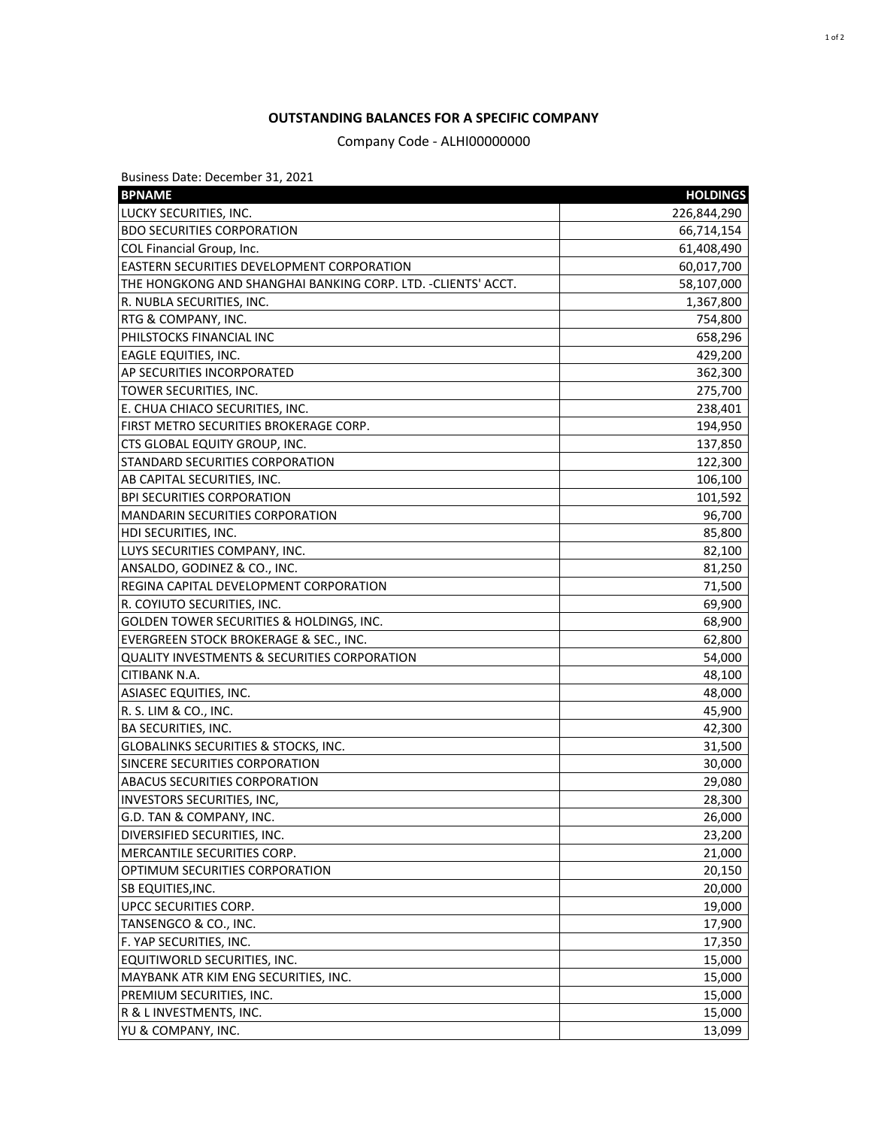## **OUTSTANDING BALANCES FOR A SPECIFIC COMPANY**

Company Code - ALHI00000000

Business Date: December 31, 2021

| <b>BPNAME</b>                                                | <b>HOLDINGS</b> |
|--------------------------------------------------------------|-----------------|
| LUCKY SECURITIES, INC.                                       | 226,844,290     |
| <b>BDO SECURITIES CORPORATION</b>                            | 66,714,154      |
| COL Financial Group, Inc.                                    | 61,408,490      |
| EASTERN SECURITIES DEVELOPMENT CORPORATION                   | 60,017,700      |
| THE HONGKONG AND SHANGHAI BANKING CORP. LTD. -CLIENTS' ACCT. | 58,107,000      |
| R. NUBLA SECURITIES, INC.                                    | 1,367,800       |
| RTG & COMPANY, INC.                                          | 754,800         |
| PHILSTOCKS FINANCIAL INC                                     | 658,296         |
| <b>EAGLE EQUITIES, INC.</b>                                  | 429,200         |
| AP SECURITIES INCORPORATED                                   | 362,300         |
| TOWER SECURITIES, INC.                                       | 275,700         |
| E. CHUA CHIACO SECURITIES, INC.                              | 238,401         |
| FIRST METRO SECURITIES BROKERAGE CORP.                       | 194,950         |
| CTS GLOBAL EQUITY GROUP, INC.                                | 137,850         |
| STANDARD SECURITIES CORPORATION                              | 122,300         |
| AB CAPITAL SECURITIES, INC.                                  | 106,100         |
| <b>BPI SECURITIES CORPORATION</b>                            | 101,592         |
| <b>MANDARIN SECURITIES CORPORATION</b>                       | 96,700          |
| <b>HDI SECURITIES, INC.</b>                                  | 85,800          |
| LUYS SECURITIES COMPANY, INC.                                | 82,100          |
| ANSALDO, GODINEZ & CO., INC.                                 | 81,250          |
| REGINA CAPITAL DEVELOPMENT CORPORATION                       | 71,500          |
| R. COYIUTO SECURITIES, INC.                                  | 69,900          |
| GOLDEN TOWER SECURITIES & HOLDINGS, INC.                     | 68,900          |
| EVERGREEN STOCK BROKERAGE & SEC., INC.                       | 62,800          |
| <b>QUALITY INVESTMENTS &amp; SECURITIES CORPORATION</b>      | 54,000          |
| CITIBANK N.A.                                                | 48,100          |
| ASIASEC EQUITIES, INC.                                       | 48,000          |
| R. S. LIM & CO., INC.                                        | 45,900          |
| <b>BA SECURITIES, INC.</b>                                   | 42,300          |
| GLOBALINKS SECURITIES & STOCKS, INC.                         | 31,500          |
| SINCERE SECURITIES CORPORATION                               | 30,000          |
| <b>ABACUS SECURITIES CORPORATION</b>                         | 29,080          |
| <b>INVESTORS SECURITIES, INC,</b>                            | 28,300          |
| G.D. TAN & COMPANY, INC.                                     | 26,000          |
| DIVERSIFIED SECURITIES, INC.                                 | 23,200          |
| MERCANTILE SECURITIES CORP.                                  | 21,000          |
| OPTIMUM SECURITIES CORPORATION                               | 20,150          |
| SB EQUITIES, INC.                                            | 20,000          |
| UPCC SECURITIES CORP.                                        | 19,000          |
| TANSENGCO & CO., INC.                                        | 17,900          |
| F. YAP SECURITIES, INC.                                      | 17,350          |
| EQUITIWORLD SECURITIES, INC.                                 | 15,000          |
| MAYBANK ATR KIM ENG SECURITIES, INC.                         | 15,000          |
| PREMIUM SECURITIES, INC.                                     | 15,000          |
| R & L INVESTMENTS, INC.                                      | 15,000          |
| YU & COMPANY, INC.                                           | 13,099          |